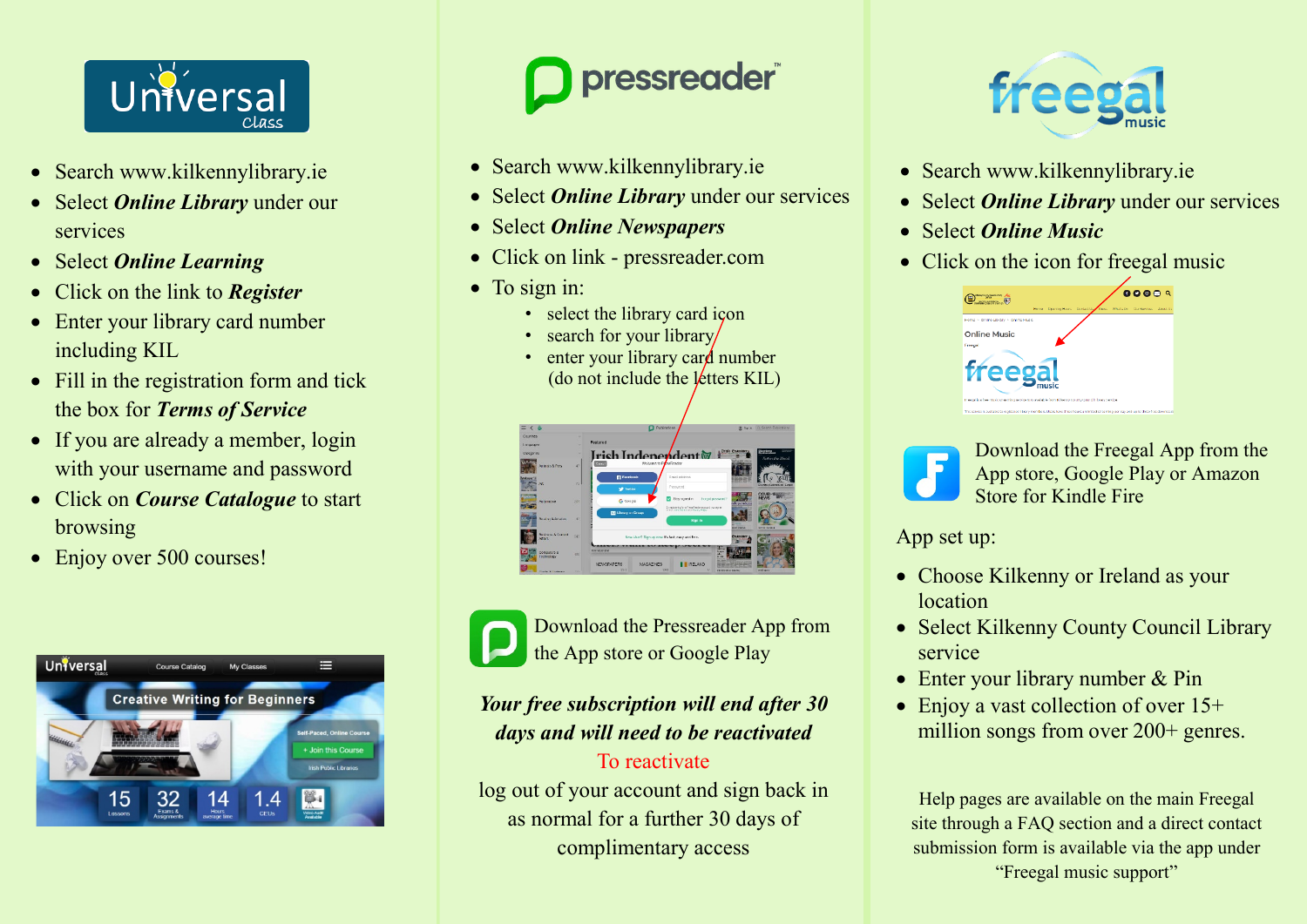

- Search [www.kilkennylibrary.ie](file://KK-FILEPRINT/CommunityEnterprise/Libraries/Libraries%20General/Online%20Resources/www.kilkennylibrary.ie)
- Select *Online Library* under our services
- Select *Online Learning*
- Click on the link to *Register*
- Enter your library card number including KIL
- Fill in the registration form and tick the box for *Terms of Service*
- If you are already a member, login with your username and password
- Click on *Course Catalogue* to start browsing
- Enjoy over 500 courses!





- Search www.kilkennylibrary.ie
- Select *Online Library* under our services
- Select *Online Newspapers*
- Click on link pressreader.com
- To sign in:
	- select the library card icon
	- search for your library
	- enter your library card number (do not include the letters KIL)





Download the Pressreader App from the App store or Google Play

#### *Your free subscription will end after 30 days and will need to be reactivated* To reactivate

log out of your account and sign back in as normal for a further 30 days of complimentary access



- Search [www.kilkennylibrary.ie](http://www.kilkennylibrary.ie/)
- Select *Online Library* under our services
- Select *Online Music*
- Click on the icon for freegal music





Download the Freegal App from the App store, Google Play or Amazon Store for Kindle Fire

App set up:

- Choose Kilkenny or Ireland as your location
- Select Kilkenny County Council Library service
- Enter your library number & Pin
- Enjoy a vast collection of over 15+ million songs from over 200+ genres.

Help pages are available on the main Freegal site through a FAQ section and a direct contact submission form is available via the app under "Freegal music support"